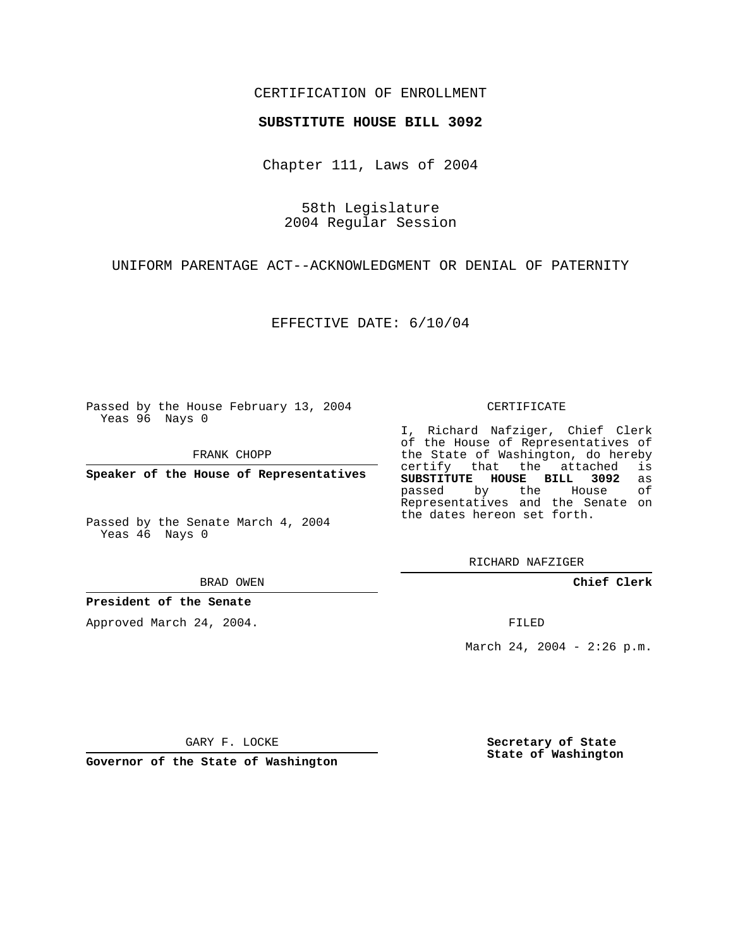## CERTIFICATION OF ENROLLMENT

## **SUBSTITUTE HOUSE BILL 3092**

Chapter 111, Laws of 2004

58th Legislature 2004 Regular Session

UNIFORM PARENTAGE ACT--ACKNOWLEDGMENT OR DENIAL OF PATERNITY

EFFECTIVE DATE: 6/10/04

Passed by the House February 13, 2004 Yeas 96 Nays 0

FRANK CHOPP

**Speaker of the House of Representatives**

Passed by the Senate March 4, 2004 Yeas 46 Nays 0

BRAD OWEN

**President of the Senate**

Approved March 24, 2004.

CERTIFICATE

I, Richard Nafziger, Chief Clerk of the House of Representatives of the State of Washington, do hereby<br>certify that the attached is certify that the attached **SUBSTITUTE HOUSE BILL 3092** as passed by the Representatives and the Senate on the dates hereon set forth.

RICHARD NAFZIGER

**Chief Clerk**

FILED

March 24, 2004 - 2:26 p.m.

GARY F. LOCKE

**Governor of the State of Washington**

**Secretary of State State of Washington**